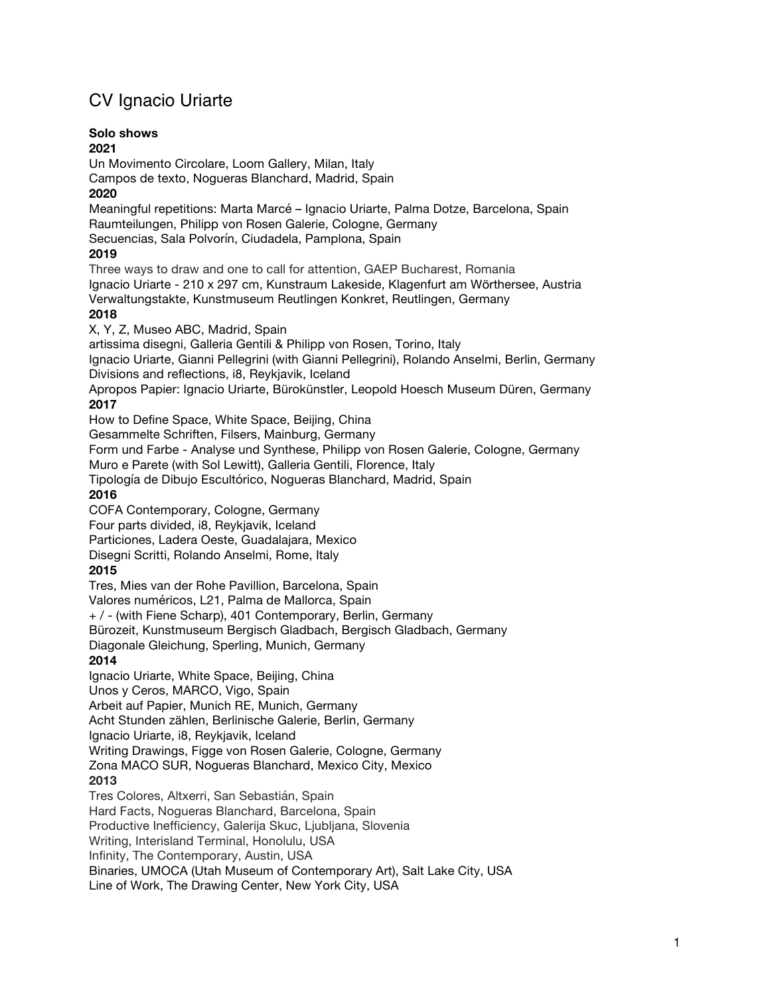# CV Ignacio Uriarte

## **Solo shows**

**2021** Un Movimento Circolare, Loom Gallery, Milan, Italy Campos de texto, Nogueras Blanchard, Madrid, Spain **2020** Meaningful repetitions: Marta Marcé – Ignacio Uriarte, Palma Dotze, Barcelona, Spain Raumteilungen, Philipp von Rosen Galerie, Cologne, Germany Secuencias, Sala Polvorín, Ciudadela, Pamplona, Spain **2019** Three ways to draw and one to call for attention, GAEP Bucharest, Romania Ignacio Uriarte - 210 x 297 cm, Kunstraum Lakeside, Klagenfurt am Wörthersee, Austria Verwaltungstakte, Kunstmuseum Reutlingen Konkret, Reutlingen, Germany **2018** X, Y, Z, Museo ABC, Madrid, Spain artissima disegni, Galleria Gentili & Philipp von Rosen, Torino, Italy Ignacio Uriarte, Gianni Pellegrini (with Gianni Pellegrini), Rolando Anselmi, Berlin, Germany Divisions and reflections, i8, Reykjavik, Iceland Apropos Papier: Ignacio Uriarte, Bürokünstler, Leopold Hoesch Museum Düren, Germany **2017** How to Define Space, White Space, Beijing, China Gesammelte Schriften, Filsers, Mainburg, Germany Form und Farbe - Analyse und Synthese, Philipp von Rosen Galerie, Cologne, Germany Muro e Parete (with Sol Lewitt), Galleria Gentili, Florence, Italy Tipología de Dibujo Escultórico, Nogueras Blanchard, Madrid, Spain **2016** COFA Contemporary, Cologne, Germany Four parts divided, i8, Reykjavik, Iceland Particiones, Ladera Oeste, Guadalajara, Mexico Disegni Scritti, Rolando Anselmi, Rome, Italy **2015**  Tres, Mies van der Rohe Pavillion, Barcelona, Spain Valores numéricos, L21, Palma de Mallorca, Spain + / - (with Fiene Scharp), 401 Contemporary, Berlin, Germany Bürozeit, Kunstmuseum Bergisch Gladbach, Bergisch Gladbach, Germany Diagonale Gleichung, Sperling, Munich, Germany **2014** Ignacio Uriarte, White Space, Beijing, China Unos y Ceros, MARCO, Vigo, Spain Arbeit auf Papier, Munich RE, Munich, Germany Acht Stunden zählen, Berlinische Galerie, Berlin, Germany Ignacio Uriarte, i8, Reykjavik, Iceland Writing Drawings, Figge von Rosen Galerie, Cologne, Germany Zona MACO SUR, Nogueras Blanchard, Mexico City, Mexico **2013** Tres Colores, Altxerri, San Sebastián, Spain Hard Facts, Nogueras Blanchard, Barcelona, Spain Productive Inefficiency, Galerija Skuc, Ljubljana, Slovenia

Writing, Interisland Terminal, Honolulu, USA

Infinity, The Contemporary, Austin, USA

Binaries, UMOCA (Utah Museum of Contemporary Art), Salt Lake City, USA

Line of Work, The Drawing Center, New York City, USA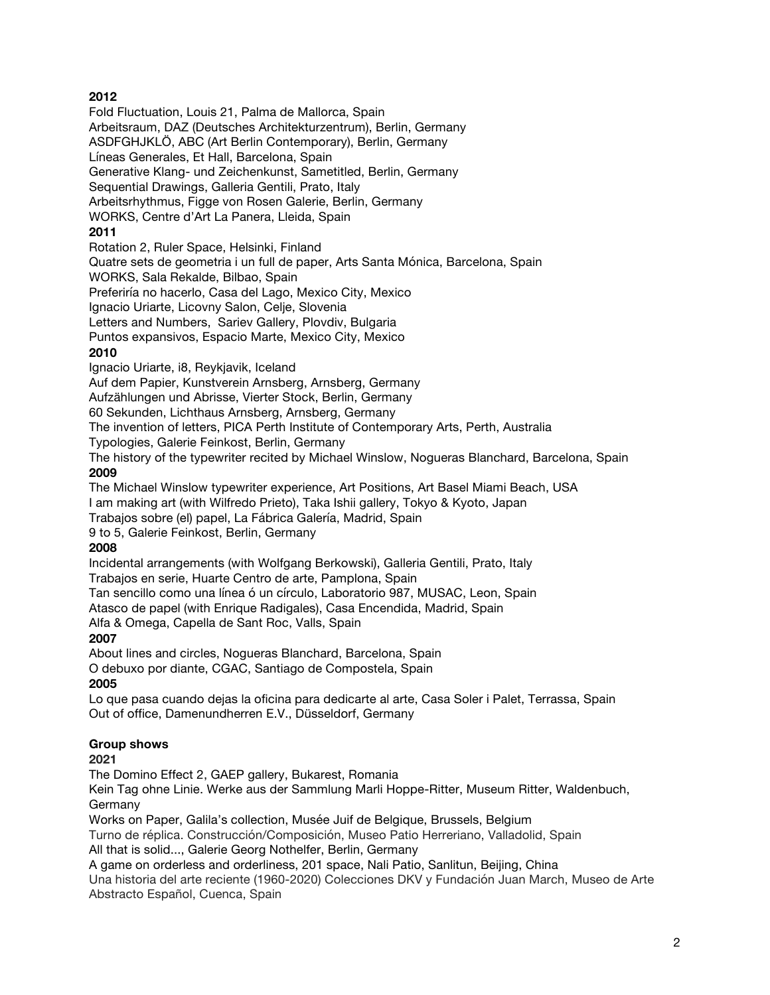## **2012**

Fold Fluctuation, Louis 21, Palma de Mallorca, Spain Arbeitsraum, DAZ (Deutsches Architekturzentrum), Berlin, Germany ASDFGHJKLÖ, ABC (Art Berlin Contemporary), Berlin, Germany Líneas Generales, Et Hall, Barcelona, Spain Generative Klang- und Zeichenkunst, Sametitled, Berlin, Germany Sequential Drawings, Galleria Gentili, Prato, Italy Arbeitsrhythmus, Figge von Rosen Galerie, Berlin, Germany WORKS, Centre d'Art La Panera, Lleida, Spain **2011** Rotation 2, Ruler Space, Helsinki, Finland Quatre sets de geometria i un full de paper, Arts Santa Mónica, Barcelona, Spain WORKS, Sala Rekalde, Bilbao, Spain Preferiría no hacerlo, Casa del Lago, Mexico City, Mexico Ignacio Uriarte, Licovny Salon, Celje, Slovenia Letters and Numbers, Sariev Gallery, Plovdiv, Bulgaria Puntos expansivos, Espacio Marte, Mexico City, Mexico **2010** Ignacio Uriarte, i8, Reykjavik, Iceland

Auf dem Papier, Kunstverein Arnsberg, Arnsberg, Germany

Aufzählungen und Abrisse, Vierter Stock, Berlin, Germany

60 Sekunden, Lichthaus Arnsberg, Arnsberg, Germany

The invention of letters, PICA Perth Institute of Contemporary Arts, Perth, Australia

Typologies, Galerie Feinkost, Berlin, Germany

The history of the typewriter recited by Michael Winslow, Nogueras Blanchard, Barcelona, Spain **2009**

The Michael Winslow typewriter experience, Art Positions, Art Basel Miami Beach, USA I am making art (with Wilfredo Prieto), Taka Ishii gallery, Tokyo & Kyoto, Japan

Trabajos sobre (el) papel, La Fábrica Galería, Madrid, Spain

9 to 5, Galerie Feinkost, Berlin, Germany

#### **2008**

Incidental arrangements (with Wolfgang Berkowski), Galleria Gentili, Prato, Italy Trabajos en serie, Huarte Centro de arte, Pamplona, Spain

Tan sencillo como una línea ó un círculo, Laboratorio 987, MUSAC, Leon, Spain

Atasco de papel (with Enrique Radigales), Casa Encendida, Madrid, Spain

Alfa & Omega, Capella de Sant Roc, Valls, Spain

### **2007**

About lines and circles, Nogueras Blanchard, Barcelona, Spain O debuxo por diante, CGAC, Santiago de Compostela, Spain **2005**

Lo que pasa cuando dejas la oficina para dedicarte al arte, Casa Soler i Palet, Terrassa, Spain Out of office, Damenundherren E.V., Düsseldorf, Germany

### **Group shows**

**2021**

The Domino Effect 2, GAEP gallery, Bukarest, Romania

Kein Tag ohne Linie. Werke aus der Sammlung Marli Hoppe-Ritter, Museum Ritter, Waldenbuch, Germany

Works on Paper, Galila's collection, Musée Juif de Belgique, Brussels, Belgium

Turno de réplica. Construcción/Composición, Museo Patio Herreriano, Valladolid, Spain All that is solid..., Galerie Georg Nothelfer, Berlin, Germany

A game on orderless and orderliness, 201 space, Nali Patio, Sanlitun, Beijing, China

Una historia del arte reciente (1960-2020) Colecciones DKV y Fundación Juan March, Museo de Arte Abstracto Español, Cuenca, Spain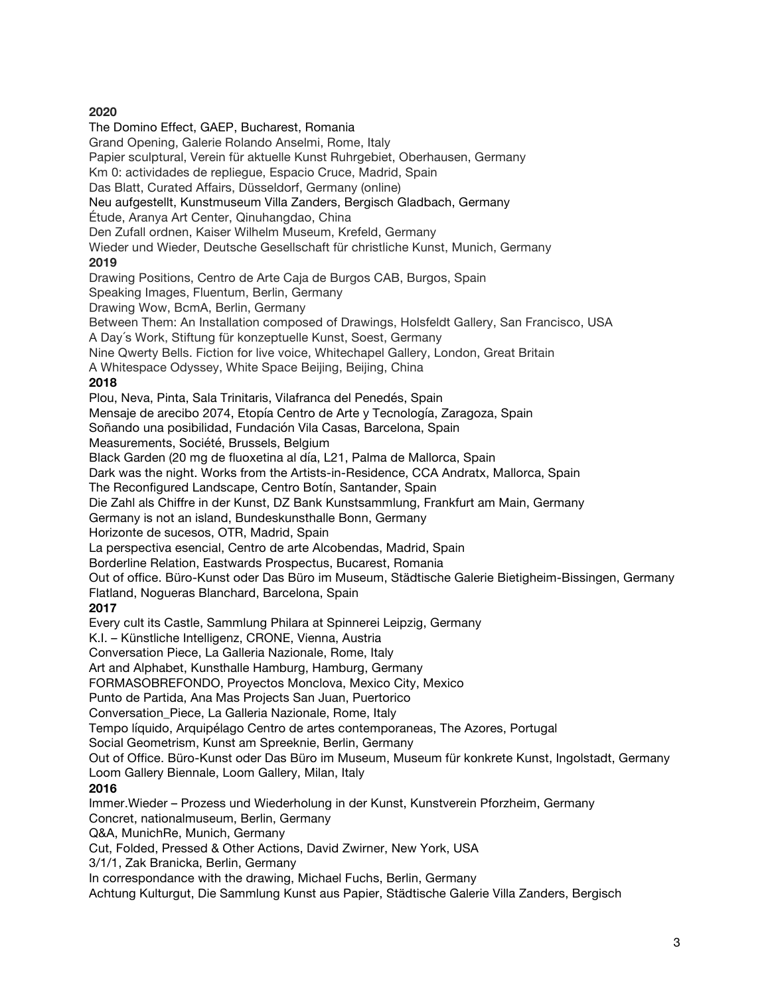### **2020**

The Domino Effect, GAEP, Bucharest, Romania Grand Opening, Galerie Rolando Anselmi, Rome, Italy Papier sculptural, Verein für aktuelle Kunst Ruhrgebiet, Oberhausen, Germany Km 0: actividades de repliegue, Espacio Cruce, Madrid, Spain Das Blatt, Curated Affairs, Düsseldorf, Germany (online) Neu aufgestellt, Kunstmuseum Villa Zanders, Bergisch Gladbach, Germany Étude, Aranya Art Center, Qinuhangdao, China Den Zufall ordnen, Kaiser Wilhelm Museum, Krefeld, Germany Wieder und Wieder, Deutsche Gesellschaft für christliche Kunst, Munich, Germany **2019** Drawing Positions, Centro de Arte Caja de Burgos CAB, Burgos, Spain Speaking Images, Fluentum, Berlin, Germany Drawing Wow, BcmA, Berlin, Germany Between Them: An Installation composed of Drawings, Holsfeldt Gallery, San Francisco, USA A Day´s Work, Stiftung für konzeptuelle Kunst, Soest, Germany Nine Qwerty Bells. Fiction for live voice, Whitechapel Gallery, London, Great Britain A Whitespace Odyssey, White Space Beijing, Beijing, China **2018** Plou, Neva, Pinta, Sala Trinitaris, Vilafranca del Penedés, Spain Mensaje de arecibo 2074, Etopía Centro de Arte y Tecnología, Zaragoza, Spain Soñando una posibilidad, Fundación Vila Casas, Barcelona, Spain Measurements, Société, Brussels, Belgium Black Garden (20 mg de fluoxetina al día, L21, Palma de Mallorca, Spain Dark was the night. Works from the Artists-in-Residence, CCA Andratx, Mallorca, Spain The Reconfigured Landscape, Centro Botín, Santander, Spain Die Zahl als Chiffre in der Kunst, DZ Bank Kunstsammlung, Frankfurt am Main, Germany Germany is not an island, Bundeskunsthalle Bonn, Germany Horizonte de sucesos, OTR, Madrid, Spain La perspectiva esencial, Centro de arte Alcobendas, Madrid, Spain Borderline Relation, Eastwards Prospectus, Bucarest, Romania Out of office. Büro-Kunst oder Das Büro im Museum, Städtische Galerie Bietigheim-Bissingen, Germany Flatland, Nogueras Blanchard, Barcelona, Spain **2017** Every cult its Castle, Sammlung Philara at Spinnerei Leipzig, Germany K.I. – Künstliche Intelligenz, CRONE, Vienna, Austria Conversation Piece, La Galleria Nazionale, Rome, Italy Art and Alphabet, Kunsthalle Hamburg, Hamburg, Germany FORMASOBREFONDO, Proyectos Monclova, Mexico City, Mexico Punto de Partida, Ana Mas Projects San Juan, Puertorico Conversation\_Piece, La Galleria Nazionale, Rome, Italy Tempo líquido, Arquipélago Centro de artes contemporaneas, The Azores, Portugal Social Geometrism, Kunst am Spreeknie, Berlin, Germany Out of Office. Büro-Kunst oder Das Büro im Museum, Museum für konkrete Kunst, Ingolstadt, Germany Loom Gallery Biennale, Loom Gallery, Milan, Italy **2016** Immer.Wieder – Prozess und Wiederholung in der Kunst, Kunstverein Pforzheim, Germany Concret, nationalmuseum, Berlin, Germany Q&A, MunichRe, Munich, Germany Cut, Folded, Pressed & Other Actions, David Zwirner, New York, USA 3/1/1, Zak Branicka, Berlin, Germany In correspondance with the drawing, Michael Fuchs, Berlin, Germany Achtung Kulturgut, Die Sammlung Kunst aus Papier, Städtische Galerie Villa Zanders, Bergisch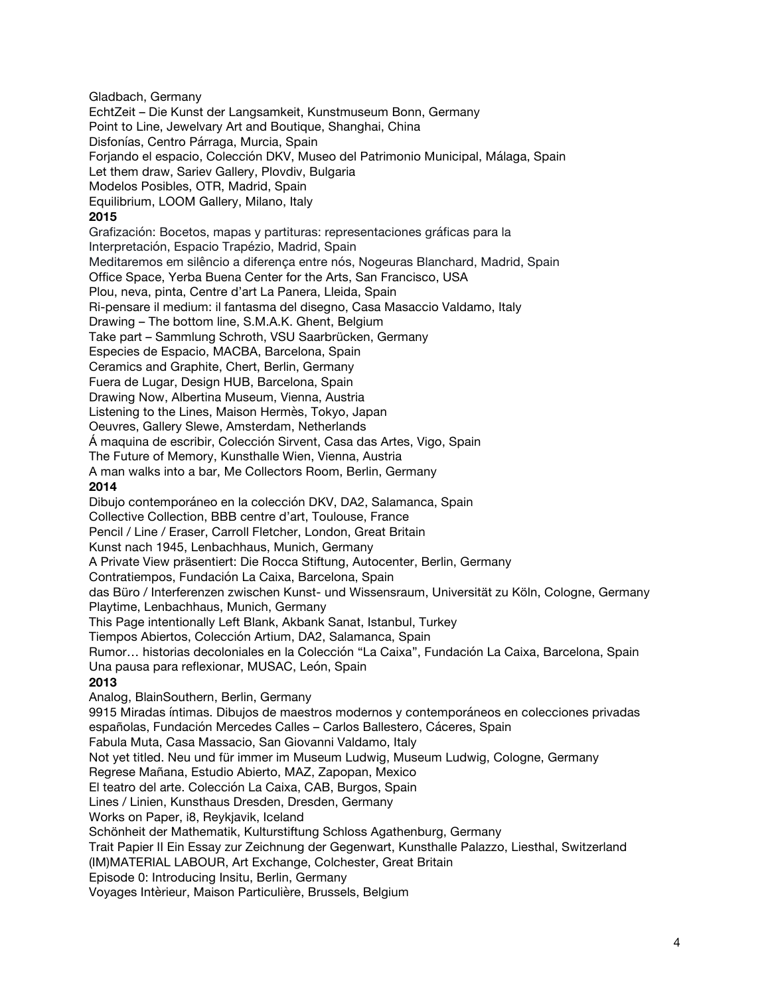Gladbach, Germany

EchtZeit – Die Kunst der Langsamkeit, Kunstmuseum Bonn, Germany Point to Line, Jewelvary Art and Boutique, Shanghai, China Disfonías, Centro Párraga, Murcia, Spain Forjando el espacio, Colección DKV, Museo del Patrimonio Municipal, Málaga, Spain Let them draw, Sariev Gallery, Plovdiv, Bulgaria Modelos Posibles, OTR, Madrid, Spain Equilibrium, LOOM Gallery, Milano, Italy **2015** Grafización: Bocetos, mapas y partituras: representaciones gráficas para la Interpretación, Espacio Trapézio, Madrid, Spain Meditaremos em silêncio a diferença entre nós, Nogeuras Blanchard, Madrid, Spain Office Space, Yerba Buena Center for the Arts, San Francisco, USA Plou, neva, pinta, Centre d'art La Panera, Lleida, Spain Ri-pensare il medium: il fantasma del disegno, Casa Masaccio Valdamo, Italy Drawing – The bottom line, S.M.A.K. Ghent, Belgium Take part – Sammlung Schroth, VSU Saarbrücken, Germany Especies de Espacio, MACBA, Barcelona, Spain Ceramics and Graphite, Chert, Berlin, Germany Fuera de Lugar, Design HUB, Barcelona, Spain Drawing Now, Albertina Museum, Vienna, Austria Listening to the Lines, Maison Hermès, Tokyo, Japan Oeuvres, Gallery Slewe, Amsterdam, Netherlands Á maquina de escribir, Colección Sirvent, Casa das Artes, Vigo, Spain The Future of Memory, Kunsthalle Wien, Vienna, Austria A man walks into a bar, Me Collectors Room, Berlin, Germany **2014** Dibujo contemporáneo en la colección DKV, DA2, Salamanca, Spain Collective Collection, BBB centre d'art, Toulouse, France Pencil / Line / Eraser, Carroll Fletcher, London, Great Britain Kunst nach 1945, Lenbachhaus, Munich, Germany A Private View präsentiert: Die Rocca Stiftung, Autocenter, Berlin, Germany Contratiempos, Fundación La Caixa, Barcelona, Spain das Büro / Interferenzen zwischen Kunst- und Wissensraum, Universität zu Köln, Cologne, Germany Playtime, Lenbachhaus, Munich, Germany This Page intentionally Left Blank, Akbank Sanat, Istanbul, Turkey Tiempos Abiertos, Colección Artium, DA2, Salamanca, Spain Rumor… historias decoloniales en la Colección "La Caixa", Fundación La Caixa, Barcelona, Spain Una pausa para reflexionar, MUSAC, León, Spain **2013** Analog, BlainSouthern, Berlin, Germany 9915 Miradas íntimas. Dibujos de maestros modernos y contemporáneos en colecciones privadas españolas, Fundación Mercedes Calles – Carlos Ballestero, Cáceres, Spain Fabula Muta, Casa Massacio, San Giovanni Valdamo, Italy Not yet titled. Neu und für immer im Museum Ludwig, Museum Ludwig, Cologne, Germany Regrese Mañana, Estudio Abierto, MAZ, Zapopan, Mexico El teatro del arte. Colección La Caixa, CAB, Burgos, Spain Lines / Linien, Kunsthaus Dresden, Dresden, Germany Works on Paper, i8, Reykjavik, Iceland Schönheit der Mathematik, Kulturstiftung Schloss Agathenburg, Germany Trait Papier II Ein Essay zur Zeichnung der Gegenwart, Kunsthalle Palazzo, Liesthal, Switzerland (IM)MATERIAL LABOUR, Art Exchange, Colchester, Great Britain Episode 0: Introducing Insitu, Berlin, Germany

Voyages Intèrieur, Maison Particulière, Brussels, Belgium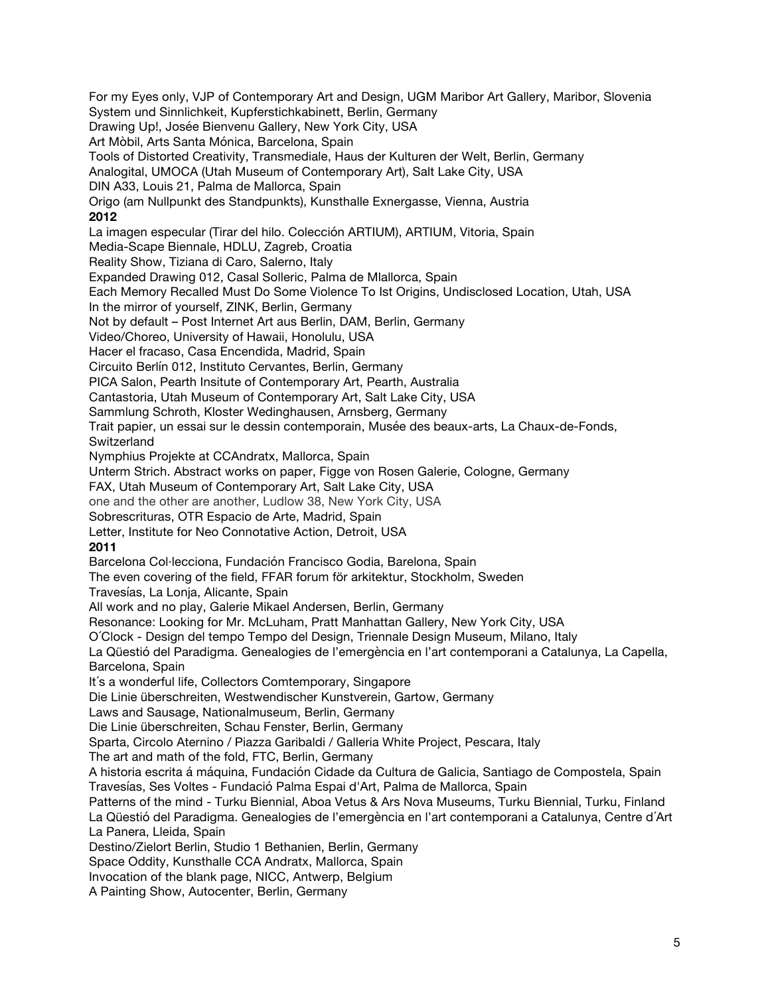For my Eyes only, VJP of Contemporary Art and Design, UGM Maribor Art Gallery, Maribor, Slovenia System und Sinnlichkeit, Kupferstichkabinett, Berlin, Germany Drawing Up!, Josée Bienvenu Gallery, New York City, USA Art Mòbil, Arts Santa Mónica, Barcelona, Spain Tools of Distorted Creativity, Transmediale, Haus der Kulturen der Welt, Berlin, Germany Analogital, UMOCA (Utah Museum of Contemporary Art), Salt Lake City, USA DIN A33, Louis 21, Palma de Mallorca, Spain Origo (am Nullpunkt des Standpunkts), Kunsthalle Exnergasse, Vienna, Austria **2012** La imagen especular (Tirar del hilo. Colección ARTIUM), ARTIUM, Vitoria, Spain Media-Scape Biennale, HDLU, Zagreb, Croatia Reality Show, Tiziana di Caro, Salerno, Italy Expanded Drawing 012, Casal Solleric, Palma de Mlallorca, Spain Each Memory Recalled Must Do Some Violence To Ist Origins, Undisclosed Location, Utah, USA In the mirror of yourself, ZINK, Berlin, Germany Not by default – Post Internet Art aus Berlin, DAM, Berlin, Germany Video/Choreo, University of Hawaii, Honolulu, USA Hacer el fracaso, Casa Encendida, Madrid, Spain Circuito Berlín 012, Instituto Cervantes, Berlin, Germany PICA Salon, Pearth Insitute of Contemporary Art, Pearth, Australia Cantastoria, Utah Museum of Contemporary Art, Salt Lake City, USA Sammlung Schroth, Kloster Wedinghausen, Arnsberg, Germany Trait papier, un essai sur le dessin contemporain, Musée des beaux-arts, La Chaux-de-Fonds, **Switzerland** Nymphius Projekte at CCAndratx, Mallorca, Spain Unterm Strich. Abstract works on paper, Figge von Rosen Galerie, Cologne, Germany FAX, Utah Museum of Contemporary Art, Salt Lake City, USA one and the other are another, Ludlow 38, New York City, USA Sobrescrituras, OTR Espacio de Arte, Madrid, Spain Letter, Institute for Neo Connotative Action, Detroit, USA **2011** Barcelona Col·lecciona, Fundación Francisco Godia, Barelona, Spain The even covering of the field, FFAR forum för arkitektur, Stockholm, Sweden Travesías, La Lonja, Alicante, Spain All work and no play, Galerie Mikael Andersen, Berlin, Germany Resonance: Looking for Mr. McLuham, Pratt Manhattan Gallery, New York City, USA O´Clock - Design del tempo Tempo del Design, Triennale Design Museum, Milano, Italy La Qüestió del Paradigma. Genealogies de l'emergència en l'art contemporani a Catalunya, La Capella, Barcelona, Spain It´s a wonderful life, Collectors Comtemporary, Singapore Die Linie überschreiten, Westwendischer Kunstverein, Gartow, Germany Laws and Sausage, Nationalmuseum, Berlin, Germany Die Linie überschreiten, Schau Fenster, Berlin, Germany Sparta, Circolo Aternino / Piazza Garibaldi / Galleria White Project, Pescara, Italy The art and math of the fold, FTC, Berlin, Germany A historia escrita á máquina, Fundación Cidade da Cultura de Galicia, Santiago de Compostela, Spain Travesías, Ses Voltes - Fundació Palma Espai d'Art, Palma de Mallorca, Spain Patterns of the mind - Turku Biennial, Aboa Vetus & Ars Nova Museums, Turku Biennial, Turku, Finland La Qüestió del Paradigma. Genealogies de l'emergència en l'art contemporani a Catalunya, Centre d´Art La Panera, Lleida, Spain Destino/Zielort Berlin, Studio 1 Bethanien, Berlin, Germany Space Oddity, Kunsthalle CCA Andratx, Mallorca, Spain Invocation of the blank page, NICC, Antwerp, Belgium A Painting Show, Autocenter, Berlin, Germany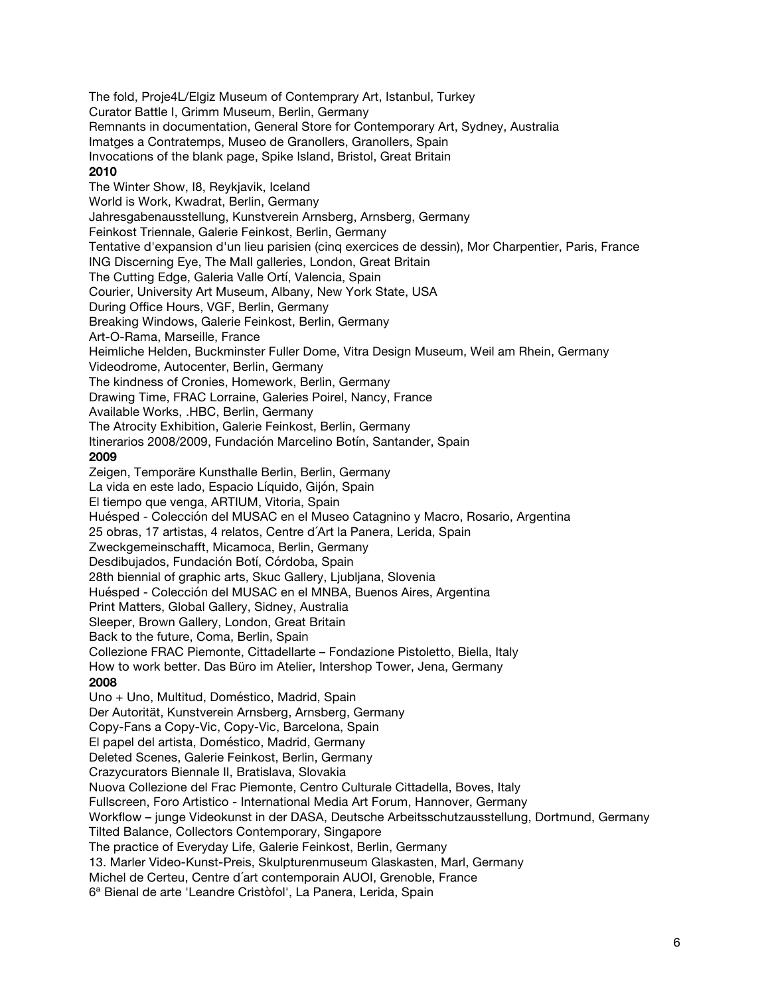The fold, Proje4L/Elgiz Museum of Contemprary Art, Istanbul, Turkey Curator Battle I, Grimm Museum, Berlin, Germany Remnants in documentation, General Store for Contemporary Art, Sydney, Australia Imatges a Contratemps, Museo de Granollers, Granollers, Spain Invocations of the blank page, Spike Island, Bristol, Great Britain **2010** The Winter Show, I8, Reykjavik, Iceland World is Work, Kwadrat, Berlin, Germany Jahresgabenausstellung, Kunstverein Arnsberg, Arnsberg, Germany Feinkost Triennale, Galerie Feinkost, Berlin, Germany Tentative d'expansion d'un lieu parisien (cinq exercices de dessin), Mor Charpentier, Paris, France ING Discerning Eye, The Mall galleries, London, Great Britain The Cutting Edge, Galeria Valle Ortí, Valencia, Spain Courier, University Art Museum, Albany, New York State, USA During Office Hours, VGF, Berlin, Germany Breaking Windows, Galerie Feinkost, Berlin, Germany Art-O-Rama, Marseille, France Heimliche Helden, Buckminster Fuller Dome, Vitra Design Museum, Weil am Rhein, Germany Videodrome, Autocenter, Berlin, Germany The kindness of Cronies, Homework, Berlin, Germany Drawing Time, FRAC Lorraine, Galeries Poirel, Nancy, France Available Works, .HBC, Berlin, Germany The Atrocity Exhibition, Galerie Feinkost, Berlin, Germany Itinerarios 2008/2009, Fundación Marcelino Botín, Santander, Spain **2009** Zeigen, Temporäre Kunsthalle Berlin, Berlin, Germany La vida en este lado, Espacio Líquido, Gijón, Spain El tiempo que venga, ARTIUM, Vitoria, Spain Huésped - Colección del MUSAC en el Museo Catagnino y Macro, Rosario, Argentina 25 obras, 17 artistas, 4 relatos, Centre d´Art la Panera, Lerida, Spain Zweckgemeinschafft, Micamoca, Berlin, Germany Desdibujados, Fundación Botí, Córdoba, Spain 28th biennial of graphic arts, Skuc Gallery, Liubliana, Slovenia Huésped - Colección del MUSAC en el MNBA, Buenos Aires, Argentina Print Matters, Global Gallery, Sidney, Australia Sleeper, Brown Gallery, London, Great Britain Back to the future, Coma, Berlin, Spain Collezione FRAC Piemonte, Cittadellarte – Fondazione Pistoletto, Biella, Italy How to work better. Das Büro im Atelier, Intershop Tower, Jena, Germany **2008** Uno + Uno, Multitud, Doméstico, Madrid, Spain Der Autorität, Kunstverein Arnsberg, Arnsberg, Germany Copy-Fans a Copy-Vic, Copy-Vic, Barcelona, Spain El papel del artista, Doméstico, Madrid, Germany Deleted Scenes, Galerie Feinkost, Berlin, Germany Crazycurators Biennale II, Bratislava, Slovakia Nuova Collezione del Frac Piemonte, Centro Culturale Cittadella, Boves, Italy Fullscreen, Foro Artistico - International Media Art Forum, Hannover, Germany Workflow – junge Videokunst in der DASA, Deutsche Arbeitsschutzausstellung, Dortmund, Germany Tilted Balance, Collectors Contemporary, Singapore The practice of Everyday Life, Galerie Feinkost, Berlin, Germany 13. Marler Video-Kunst-Preis, Skulpturenmuseum Glaskasten, Marl, Germany Michel de Certeu, Centre d´art contemporain AUOI, Grenoble, France 6ª Bienal de arte 'Leandre Cristòfol', La Panera, Lerida, Spain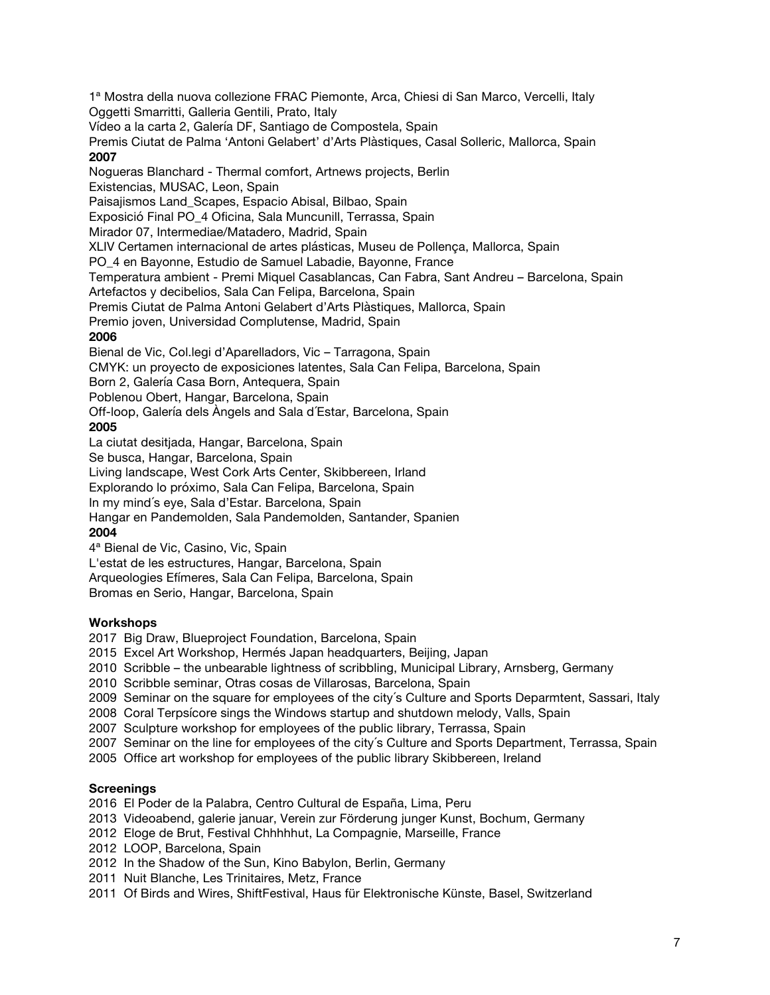1ª Mostra della nuova collezione FRAC Piemonte, Arca, Chiesi di San Marco, Vercelli, Italy Oggetti Smarritti, Galleria Gentili, Prato, Italy Vídeo a la carta 2, Galería DF, Santiago de Compostela, Spain Premis Ciutat de Palma 'Antoni Gelabert' d'Arts Plàstiques, Casal Solleric, Mallorca, Spain **2007** Nogueras Blanchard - Thermal comfort, Artnews projects, Berlin Existencias, MUSAC, Leon, Spain Paisajismos Land Scapes, Espacio Abisal, Bilbao, Spain Exposició Final PO\_4 Oficina, Sala Muncunill, Terrassa, Spain Mirador 07, Intermediae/Matadero, Madrid, Spain XLIV Certamen internacional de artes plásticas, Museu de Pollença, Mallorca, Spain PO\_4 en Bayonne, Estudio de Samuel Labadie, Bayonne, France Temperatura ambient - Premi Miquel Casablancas, Can Fabra, Sant Andreu – Barcelona, Spain Artefactos y decibelios, Sala Can Felipa, Barcelona, Spain Premis Ciutat de Palma Antoni Gelabert d'Arts Plàstiques, Mallorca, Spain Premio joven, Universidad Complutense, Madrid, Spain **2006** Bienal de Vic, Col.legi d'Aparelladors, Vic – Tarragona, Spain CMYK: un proyecto de exposiciones latentes, Sala Can Felipa, Barcelona, Spain Born 2, Galería Casa Born, Antequera, Spain Poblenou Obert, Hangar, Barcelona, Spain Off-loop, Galería dels Àngels and Sala d´Estar, Barcelona, Spain **2005**  La ciutat desitjada, Hangar, Barcelona, Spain Se busca, Hangar, Barcelona, Spain Living landscape, West Cork Arts Center, Skibbereen, Irland Explorando lo próximo, Sala Can Felipa, Barcelona, Spain In my mind´s eye, Sala d'Estar. Barcelona, Spain Hangar en Pandemolden, Sala Pandemolden, Santander, Spanien **2004**  4ª Bienal de Vic, Casino, Vic, Spain

L'estat de les estructures, Hangar, Barcelona, Spain

Arqueologies Efímeres, Sala Can Felipa, Barcelona, Spain

Bromas en Serio, Hangar, Barcelona, Spain

## **Workshops**

2017 Big Draw, Blueproject Foundation, Barcelona, Spain

2015 Excel Art Workshop, Hermés Japan headquarters, Beijing, Japan

2010 Scribble – the unbearable lightness of scribbling, Municipal Library, Arnsberg, Germany

2010 Scribble seminar, Otras cosas de Villarosas, Barcelona, Spain

2009 Seminar on the square for employees of the city´s Culture and Sports Deparmtent, Sassari, Italy

2008 Coral Terpsícore sings the Windows startup and shutdown melody, Valls, Spain

2007 Sculpture workshop for employees of the public library, Terrassa, Spain

2007 Seminar on the line for employees of the city´s Culture and Sports Department, Terrassa, Spain

2005 Office art workshop for employees of the public library Skibbereen, Ireland

### **Screenings**

2016 El Poder de la Palabra, Centro Cultural de España, Lima, Peru

2013 Videoabend, galerie januar, Verein zur Förderung junger Kunst, Bochum, Germany

- 2012 Eloge de Brut, Festival Chhhhhut, La Compagnie, Marseille, France
- 2012 LOOP, Barcelona, Spain
- 2012 In the Shadow of the Sun, Kino Babylon, Berlin, Germany
- 2011 Nuit Blanche, Les Trinitaires, Metz, France
- 2011 Of Birds and Wires, ShiftFestival, Haus für Elektronische Künste, Basel, Switzerland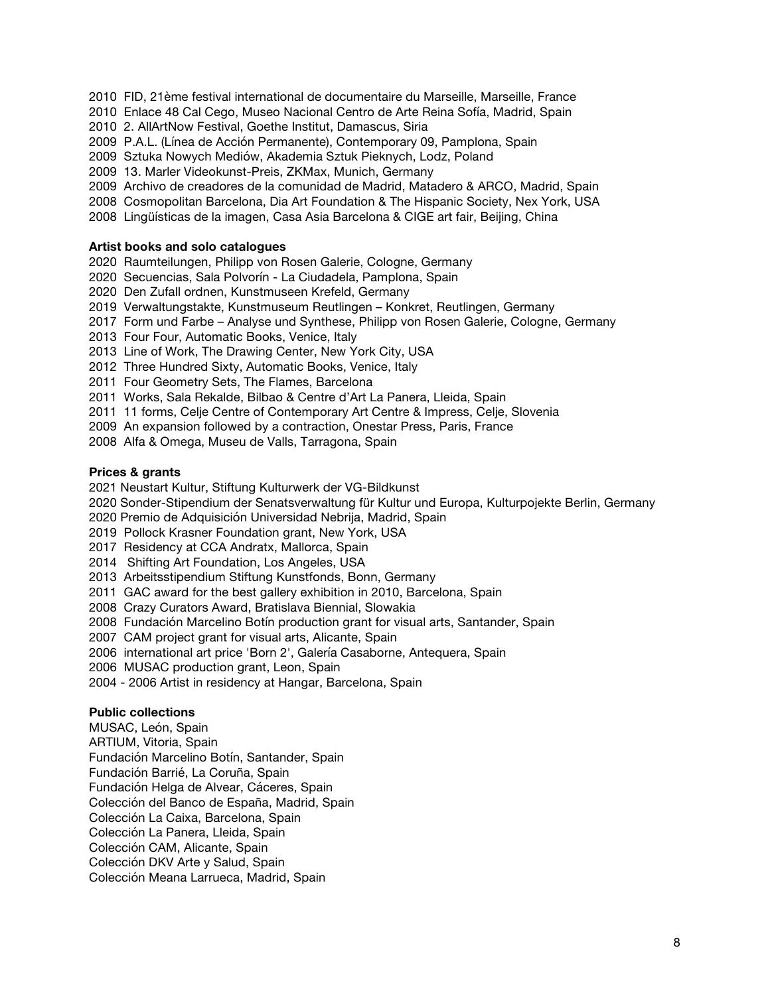2010 FID, 21ème festival international de documentaire du Marseille, Marseille, France

2010 Enlace 48 Cal Cego, Museo Nacional Centro de Arte Reina Sofía, Madrid, Spain

2010 2. AllArtNow Festival, Goethe Institut, Damascus, Siria

- 2009 P.A.L. (Línea de Acción Permanente), Contemporary 09, Pamplona, Spain
- 2009 Sztuka Nowych Mediów, Akademia Sztuk Pieknych, Lodz, Poland
- 2009 13. Marler Videokunst-Preis, ZKMax, Munich, Germany
- 2009 Archivo de creadores de la comunidad de Madrid, Matadero & ARCO, Madrid, Spain
- 2008 Cosmopolitan Barcelona, Dia Art Foundation & The Hispanic Society, Nex York, USA
- 2008 Lingüísticas de la imagen, Casa Asia Barcelona & CIGE art fair, Beijing, China

#### **Artist books and solo catalogues**

- 2020 Raumteilungen, Philipp von Rosen Galerie, Cologne, Germany
- 2020 Secuencias, Sala Polvorín La Ciudadela, Pamplona, Spain
- 2020 Den Zufall ordnen, Kunstmuseen Krefeld, Germany
- 2019 Verwaltungstakte, Kunstmuseum Reutlingen Konkret, Reutlingen, Germany
- 2017 Form und Farbe Analyse und Synthese, Philipp von Rosen Galerie, Cologne, Germany
- 2013 Four Four, Automatic Books, Venice, Italy
- 2013 Line of Work, The Drawing Center, New York City, USA
- 2012 Three Hundred Sixty, Automatic Books, Venice, Italy
- 2011 Four Geometry Sets, The Flames, Barcelona
- 2011 Works, Sala Rekalde, Bilbao & Centre d'Art La Panera, Lleida, Spain
- 2011 11 forms, Celje Centre of Contemporary Art Centre & Impress, Celje, Slovenia
- 2009 An expansion followed by a contraction, Onestar Press, Paris, France
- 2008 Alfa & Omega, Museu de Valls, Tarragona, Spain

#### **Prices & grants**

- 2021 Neustart Kultur, Stiftung Kulturwerk der VG-Bildkunst
- 2020 Sonder-Stipendium der Senatsverwaltung für Kultur und Europa, Kulturpojekte Berlin, Germany
- 2020 Premio de Adquisición Universidad Nebrija, Madrid, Spain
- 2019 Pollock Krasner Foundation grant, New York, USA
- 2017 Residency at CCA Andratx, Mallorca, Spain
- 2014 Shifting Art Foundation, Los Angeles, USA
- 2013 Arbeitsstipendium Stiftung Kunstfonds, Bonn, Germany
- 2011 GAC award for the best gallery exhibition in 2010, Barcelona, Spain
- 2008 Crazy Curators Award, Bratislava Biennial, Slowakia
- 2008 Fundación Marcelino Botín production grant for visual arts, Santander, Spain
- 2007 CAM project grant for visual arts, Alicante, Spain
- 2006 international art price 'Born 2', Galería Casaborne, Antequera, Spain
- 2006 MUSAC production grant, Leon, Spain
- 2004 2006 Artist in residency at Hangar, Barcelona, Spain

#### **Public collections**

MUSAC, León, Spain ARTIUM, Vitoria, Spain Fundación Marcelino Botín, Santander, Spain Fundación Barrié, La Coruña, Spain Fundación Helga de Alvear, Cáceres, Spain Colección del Banco de España, Madrid, Spain Colección La Caixa, Barcelona, Spain Colección La Panera, Lleida, Spain Colección CAM, Alicante, Spain Colección DKV Arte y Salud, Spain Colección Meana Larrueca, Madrid, Spain